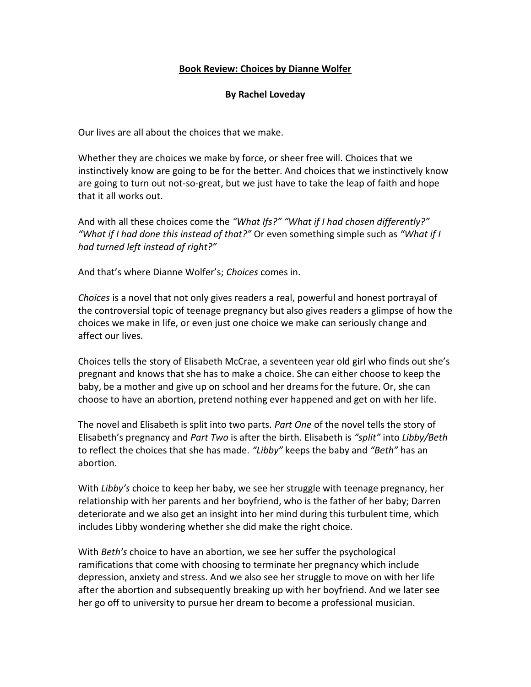## **Book Review: Choices by Dianne Wolfer**

## **By Rachel Loveday**

Our lives are all about the choices that we make.

Whether they are choices we make by force, or sheer free will. Choices that we instinctively know are going to be for the better. And choices that we instinctively know are going to turn out not-so-great, but we just have to take the leap of faith and hope that it all works out.

And with all these choices come the *"What Ifs?" "What if I had chosen differently?" "What if I had done this instead of that?"* Or even something simple such as *"What if I had turned left instead of right?"*

And that's where Dianne Wolfer's; *Choices* comes in.

*Choices* is a novel that not only gives readers a real, powerful and honest portrayal of the controversial topic of teenage pregnancy but also gives readers a glimpse of how the choices we make in life, or even just one choice we make can seriously change and affect our lives.

Choices tells the story of Elisabeth McCrae, a seventeen year old girl who finds out she's pregnant and knows that she has to make a choice. She can either choose to keep the baby, be a mother and give up on school and her dreams for the future. Or, she can choose to have an abortion, pretend nothing ever happened and get on with her life.

The novel and Elisabeth is split into two parts. *Part One* of the novel tells the story of Elisabeth's pregnancy and *Part Two* is after the birth. Elisabeth is *"split"* into *Libby/Beth*  to reflect the choices that she has made. *"Libby"* keeps the baby and *"Beth"* has an abortion.

With *Libby's* choice to keep her baby, we see her struggle with teenage pregnancy, her relationship with her parents and her boyfriend, who is the father of her baby; Darren deteriorate and we also get an insight into her mind during this turbulent time, which includes Libby wondering whether she did make the right choice.

With *Beth's* choice to have an abortion, we see her suffer the psychological ramifications that come with choosing to terminate her pregnancy which include depression, anxiety and stress. And we also see her struggle to move on with her life after the abortion and subsequently breaking up with her boyfriend. And we later see her go off to university to pursue her dream to become a professional musician.